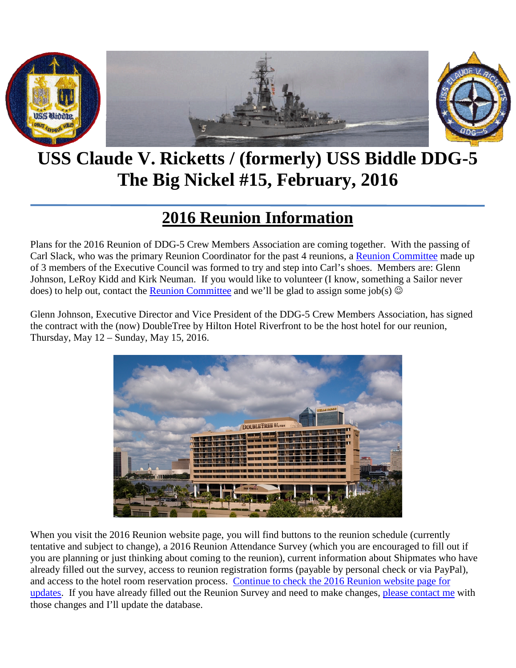

# **USS Claude V. Ricketts / (formerly) USS Biddle DDG-5 The Big Nickel #15, February, 2016**

## **2016 Reunion Information**

Plans for the 2016 Reunion of DDG-5 Crew Members Association are coming together. With the passing of Carl Slack, who was the primary Reunion Coordinator for the past 4 reunions, a [Reunion Committee](mailto:Reunion.Committee@TheBigNickel.Navy?subject=2016%20Reunion) made up of 3 members of the Executive Council was formed to try and step into Carl's shoes. Members are: Glenn Johnson, LeRoy Kidd and Kirk Neuman. If you would like to volunteer (I know, something a Sailor never does) to help out, contact the [Reunion Committee](mailto:Reunion.Committee@TheBigNickel.Navy?subject=2016%20Reunion%20Volunteer) and we'll be glad to assign some job(s)  $\odot$ 

Glenn Johnson, Executive Director and Vice President of the DDG-5 Crew Members Association, has signed the contract with the (now) DoubleTree by Hilton Hotel Riverfront to be the host hotel for our reunion, Thursday, May 12 – Sunday, May 15, 2016.



When you visit the 2016 Reunion website page, you will find buttons to the reunion schedule (currently tentative and subject to change), a 2016 Reunion Attendance Survey (which you are encouraged to fill out if you are planning or just thinking about coming to the reunion), current information about Shipmates who have already filled out the survey, access to reunion registration forms (payable by personal check or via PayPal), and access to the hotel room reservation process. [Continue to check the 2016 Reunion website page for](http://thebignickel.navy/nextreunioninformation.html)  [updates.](http://thebignickel.navy/nextreunioninformation.html) If you have already filled out the Reunion Survey and need to make changes, [please contact me](mailto:Captain.Kirk@TheBigNickel.Navy?subject=2016%20Reunion%20Survey%20Update) with those changes and I'll update the database.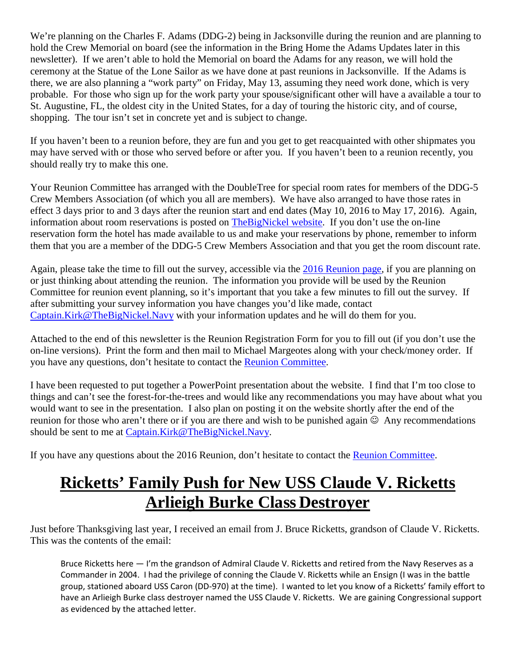We're planning on the Charles F. Adams (DDG-2) being in Jacksonville during the reunion and are planning to hold the Crew Memorial on board (see the information in the Bring Home the Adams Updates later in this newsletter). If we aren't able to hold the Memorial on board the Adams for any reason, we will hold the ceremony at the Statue of the Lone Sailor as we have done at past reunions in Jacksonville. If the Adams is there, we are also planning a "work party" on Friday, May 13, assuming they need work done, which is very probable. For those who sign up for the work party your spouse/significant other will have a available a tour to St. Augustine, FL, the oldest city in the United States, for a day of touring the historic city, and of course, shopping. The tour isn't set in concrete yet and is subject to change.

If you haven't been to a reunion before, they are fun and you get to get reacquainted with other shipmates you may have served with or those who served before or after you. If you haven't been to a reunion recently, you should really try to make this one.

Your Reunion Committee has arranged with the DoubleTree for special room rates for members of the DDG-5 Crew Members Association (of which you all are members). We have also arranged to have those rates in effect 3 days prior to and 3 days after the reunion start and end dates (May 10, 2016 to May 17, 2016). Again, information about room reservations is posted on [TheBigNickel](http://thebignickel.navy/nextreunioninformation.html) website. If you don't use the on-line reservation form the hotel has made available to us and make your reservations by phone, remember to inform them that you are a member of the DDG-5 Crew Members Association and that you get the room discount rate.

Again, please take the time to fill out the survey, accessible via the [2016 Reunion page,](http://thebignickel.navy/nextreunioninformation.html) if you are planning on or just thinking about attending the reunion. The information you provide will be used by the Reunion Committee for reunion event planning, so it's important that you take a few minutes to fill out the survey. If after submitting your survey information you have changes you'd like made, contact [Captain.Kirk@TheBigNickel.Navy](mailto:Captain.Kirk@TheBigNickel.Navy?subject=2016%20Reunion%20Survey%20Changes) with your information updates and he will do them for you.

Attached to the end of this newsletter is the Reunion Registration Form for you to fill out (if you don't use the on-line versions). Print the form and then mail to Michael Margeotes along with your check/money order. If you have any questions, don't hesitate to contact the [Reunion Committee.](mailto:Reunion.Committee@TheBigNickel.Navy?subject=Reunion%20Question)

I have been requested to put together a PowerPoint presentation about the website. I find that I'm too close to things and can't see the forest-for-the-trees and would like any recommendations you may have about what you would want to see in the presentation. I also plan on posting it on the website shortly after the end of the reunion for those who aren't there or if you are there and wish to be punished again  $\odot$  Any recommendations should be sent to me at [Captain.Kirk@TheBigNickel.Navy.](mailto:Captain.Kirk@TheBigNickel.Navy?subject=PowerPoint%20Presentation%20Suggestions)

If you have any questions about the 2016 Reunion, don't hesitate to contact the [Reunion Committee.](mailto:Reunion.Committee@TheBigNickel.Navy?subject=2016%20Reunion)

## **Ricketts' Family Push for New USS Claude V. Ricketts Arlieigh Burke Class Destroyer**

Just before Thanksgiving last year, I received an email from J. Bruce Ricketts, grandson of Claude V. Ricketts. This was the contents of the email:

Bruce Ricketts here — I'm the grandson of Admiral Claude V. Ricketts and retired from the Navy Reserves as a Commander in 2004. I had the privilege of conning the Claude V. Ricketts while an Ensign (I was in the battle group, stationed aboard USS Caron (DD-970) at the time). I wanted to let you know of a Ricketts' family effort to have an Arlieigh Burke class destroyer named the USS Claude V. Ricketts. We are gaining Congressional support as evidenced by the attached letter.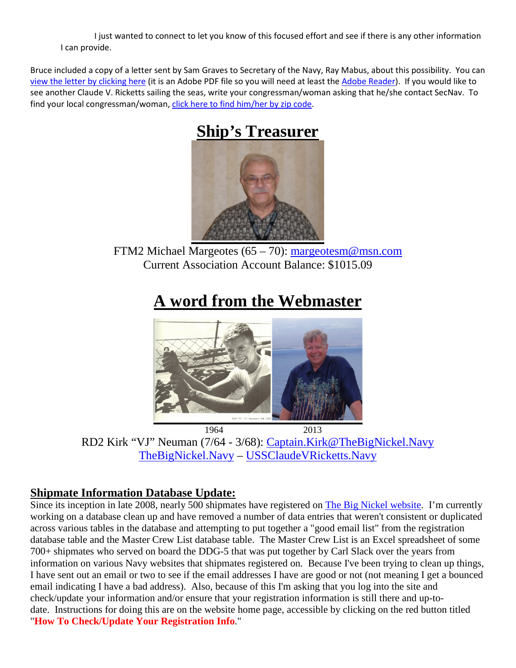I just wanted to connect to let you know of this focused effort and see if there is any other information I can provide.

Bruce included a copy of a letter sent by Sam Graves to Secretary of the Navy, Ray Mabus, about this possibility. You can [view the letter by clicking here](http://thebignickel.navy/pdf_files/Rep_Graves_USS_Ricketts_11.17.15.pdf) (it is an Adobe PDF file so you will need at least th[e Adobe Reader\)](https://get.adobe.com/reader/). If you would like to see another Claude V. Ricketts sailing the seas, write your congressman/woman asking that he/she contact SecNav. To find your local congressman/woman, [click here to find him/her by zip code.](http://www.house.gov/representatives/find/)

## **Ship's Treasurer**



FTM2 Michael Margeotes (65 – 70): [margeotesm@msn.com](mailto:margeotesm@msn.com) Current Association Account Balance: \$1015.09

### **A word from the Webmaster**



1964 2013 RD2 Kirk "VJ" Neuman (7/64 - 3/68): [Captain.Kirk@TheBigNickel.Navy](mailto:Captain.Kirk@TheBigNickel.Navy) [TheBigNickel.Navy](http://thebignickel.navy/) – [USSClaudeVRicketts.Navy](http://ussclaudevricketts.navy/)

#### **Shipmate Information Database Update:**

Since its inception in late 2008, nearly 500 shipmates have registered on **The Big Nickel website**. I'm currently working on a database clean up and have removed a number of data entries that weren't consistent or duplicated across various tables in the database and attempting to put together a "good email list" from the registration database table and the Master Crew List database table. The Master Crew List is an Excel spreadsheet of some 700+ shipmates who served on board the DDG-5 that was put together by Carl Slack over the years from information on various Navy websites that shipmates registered on. Because I've been trying to clean up things, I have sent out an email or two to see if the email addresses I have are good or not (not meaning I get a bounced email indicating I have a bad address). Also, because of this I'm asking that you log into the site and check/update your information and/or ensure that your registration information is still there and up-todate. Instructions for doing this are on the website home page, accessible by clicking on the red button titled "**How To Check/Update Your Registration Info**."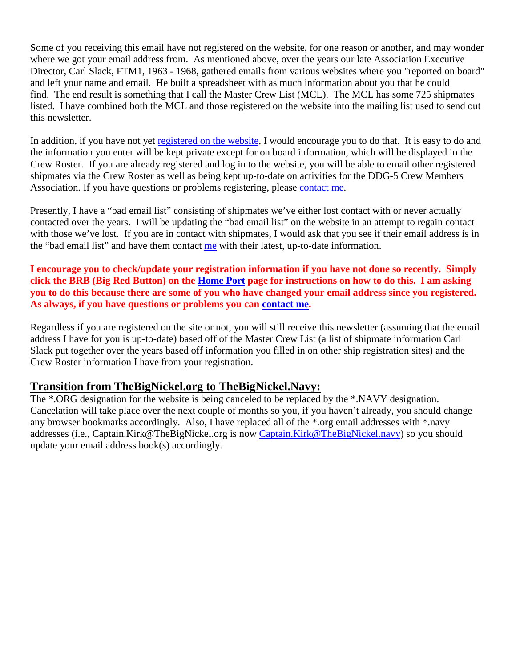Some of you receiving this email have not registered on the website, for one reason or another, and may wonder where we got your email address from. As mentioned above, over the years our late Association Executive Director, Carl Slack, FTM1, 1963 - 1968, gathered emails from various websites where you "reported on board" and left your name and email. He built a spreadsheet with as much information about you that he could find. The end result is something that I call the Master Crew List (MCL). The MCL has some 725 shipmates listed. I have combined both the MCL and those registered on the website into the mailing list used to send out this newsletter.

In addition, if you have not yet [registered on the website,](http://thebignickel.navy/CrewRegistration.php) I would encourage you to do that. It is easy to do and the information you enter will be kept private except for on board information, which will be displayed in the Crew Roster. If you are already registered and log in to the website, you will be able to email other registered shipmates via the Crew Roster as well as being kept up-to-date on activities for the DDG-5 Crew Members Association. If you have questions or problems registering, please [contact me.](mailto:Captain.Kirk@TheBigNickel.Navy?subject=Registration%20problems)

Presently, I have a "bad email list" consisting of shipmates we've either lost contact with or never actually contacted over the years. I will be updating the "bad email list" on the website in an attempt to regain contact with those we've lost. If you are in contact with shipmates, I would ask that you see if their email address is in the "bad email list" and have them contact [me](mailto:Captain.Kirk@TheBigNickel.Navy?subject=Personal%20information%20update) with their latest, up-to-date information.

**I encourage you to check/update your registration information if you have not done so recently. Simply click the BRB (Big Red Button) on the [Home Port](http://thebignickel.navy/) page for instructions on how to do this. I am asking you to do this because there are some of you who have changed your email address since you registered. As always, if you have questions or problems you can [contact me.](mailto:Captain.Kirk@TheBigNickel.Navy?subject=Registration%20update)**

Regardless if you are registered on the site or not, you will still receive this newsletter (assuming that the email address I have for you is up-to-date) based off of the Master Crew List (a list of shipmate information Carl Slack put together over the years based off information you filled in on other ship registration sites) and the Crew Roster information I have from your registration.

#### **Transition from TheBigNickel.org to TheBigNickel.Navy:**

The \*.ORG designation for the website is being canceled to be replaced by the \*.NAVY designation. Cancelation will take place over the next couple of months so you, if you haven't already, you should change any browser bookmarks accordingly. Also, I have replaced all of the \*.org email addresses with \*.navy addresses (i.e., Captain.Kirk@TheBigNickel.org is now [Captain.Kirk@TheBigNickel.navy\)](mailto:Captain.Kirk@TheBigNickel.navy) so you should update your email address book(s) accordingly.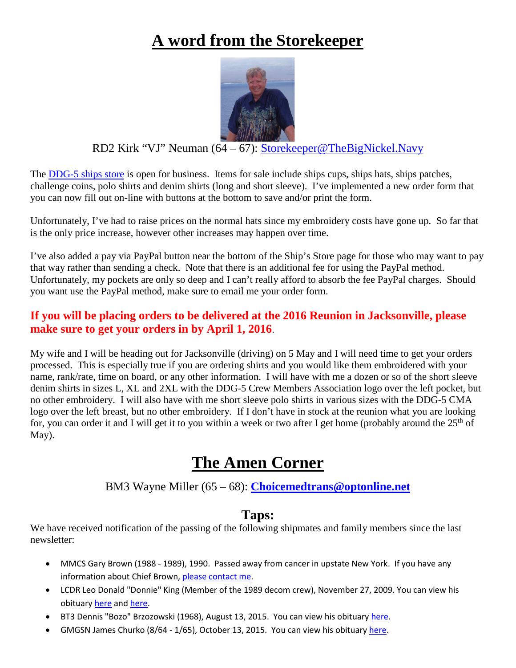## **A word from the Storekeeper**



#### RD2 Kirk "VJ" Neuman (64 – 67): Storekeeper@TheBigNickel.Navy

The [DDG-5 ships store](http://thebignickel.navy/ShipsStore.html) is open for business. Items for sale include ships cups, ships hats, ships patches, challenge coins, polo shirts and denim shirts (long and short sleeve). I've implemented a new order form that you can now fill out on-line with buttons at the bottom to save and/or print the form.

Unfortunately, I've had to raise prices on the normal hats since my embroidery costs have gone up. So far that is the only price increase, however other increases may happen over time.

I've also added a pay via PayPal button near the bottom of the Ship's Store page for those who may want to pay that way rather than sending a check. Note that there is an additional fee for using the PayPal method. Unfortunately, my pockets are only so deep and I can't really afford to absorb the fee PayPal charges. Should you want use the PayPal method, make sure to email me your order form.

#### **If you will be placing orders to be delivered at the 2016 Reunion in Jacksonville, please make sure to get your orders in by April 1, 2016**.

My wife and I will be heading out for Jacksonville (driving) on 5 May and I will need time to get your orders processed. This is especially true if you are ordering shirts and you would like them embroidered with your name, rank/rate, time on board, or any other information. I will have with me a dozen or so of the short sleeve denim shirts in sizes L, XL and 2XL with the DDG-5 Crew Members Association logo over the left pocket, but no other embroidery. I will also have with me short sleeve polo shirts in various sizes with the DDG-5 CMA logo over the left breast, but no other embroidery. If I don't have in stock at the reunion what you are looking for, you can order it and I will get it to you within a week or two after I get home (probably around the  $25<sup>th</sup>$  of May).

### **The Amen Corner**

#### BM3 Wayne Miller (65 – 68): **[Choicemedtrans@optonline.net](mailto:Choicemedtrans@optonline.net)**

#### **Taps:**

We have received notification of the passing of the following shipmates and family members since the last newsletter:

- MMCS Gary Brown (1988 1989), 1990. Passed away from cancer in upstate New York. If you have any information about Chief Brown[, please contact me.](mailto:Captain.Kirk@TheBigNickel.navy?subject=MMCS%20Gary%20Brown)
- LCDR Leo Donald "Donnie" King (Member of the 1989 decom crew), November 27, 2009. You can view his obituary [here](http://lha4.org/index.php?option=com_content&view=article&id=85&Itemid=130) an[d here.](http://www.sooeveningnews.com/article/20091202/NEWS/312029971)
- BT3 Dennis "Bozo" Brzozowski (1968), August 13, 2015. You can view his obituar[y here.](http://www.legacy.com/obituaries/erietimesnews/obituary.aspx?n=dennis-m-brzozowski&pid=175507765&fhid=5610)
- GMGSN James Churko (8/64 1/65), October 13, 2015. You can view his obituary [here.](http://arizonaobits.tributes.com/obituary/show/James-Benjamin-Churko-102938233)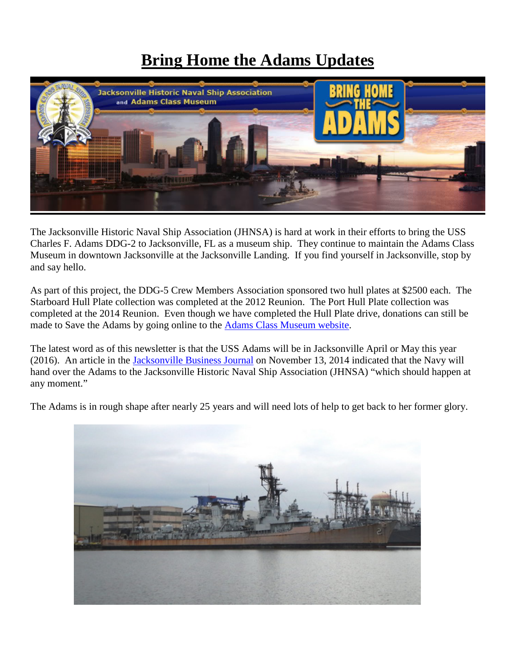### **Bring Home the Adams Updates**



The Jacksonville Historic Naval Ship Association (JHNSA) is hard at work in their efforts to bring the USS Charles F. Adams DDG-2 to Jacksonville, FL as a museum ship. They continue to maintain the Adams Class Museum in downtown Jacksonville at the Jacksonville Landing. If you find yourself in Jacksonville, stop by and say hello.

As part of this project, the DDG-5 Crew Members Association sponsored two hull plates at \$2500 each. The Starboard Hull Plate collection was completed at the 2012 Reunion. The Port Hull Plate collection was completed at the 2014 Reunion. Even though we have completed the Hull Plate drive, donations can still be made to Save the Adams by going online to the [Adams Class Museum website.](http://www.ussadams.com/donate/)

The latest word as of this newsletter is that the USS Adams will be in Jacksonville April or May this year (2016). An article in the [Jacksonville Business Journal](http://www.bizjournals.com/jacksonville/news/2014/11/13/museum-ship-advocates-could-get-the-uss-adams-any.html?page=all) on November 13, 2014 indicated that the Navy will hand over the Adams to the Jacksonville Historic Naval Ship Association (JHNSA) "which should happen at any moment."

The Adams is in rough shape after nearly 25 years and will need lots of help to get back to her former glory.

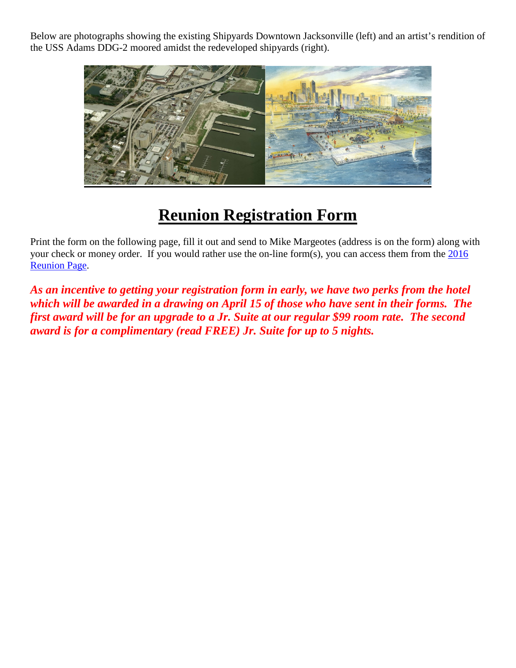Below are photographs showing the existing Shipyards Downtown Jacksonville (left) and an artist's rendition of the USS Adams DDG-2 moored amidst the redeveloped shipyards (right).



### **Reunion Registration Form**

Print the form on the following page, fill it out and send to Mike Margeotes (address is on the form) along with your check or money order. If you would rather use the on-line form(s), you can access them from the [2016](http://thebignickel.navy/2016Reunion.html)  [Reunion Page.](http://thebignickel.navy/2016Reunion.html)

*As an incentive to getting your registration form in early, we have two perks from the hotel which will be awarded in a drawing on April 15 of those who have sent in their forms. The first award will be for an upgrade to a Jr. Suite at our regular \$99 room rate. The second award is for a complimentary (read FREE) Jr. Suite for up to 5 nights.*